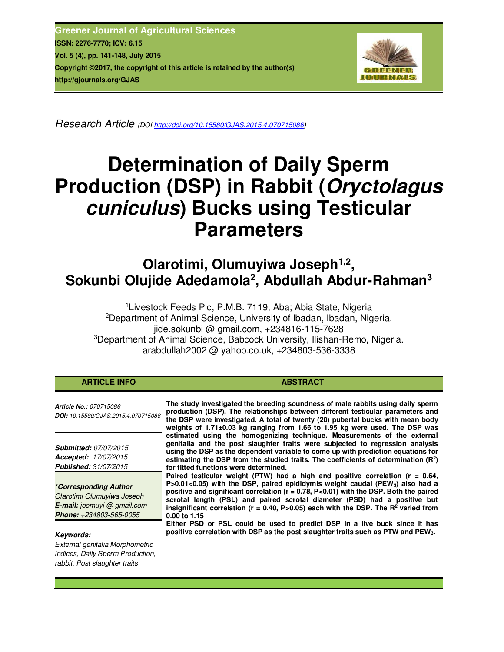**Greener Journal of Agricultural Sciences ISSN: 2276-7770; ICV: 6.15 Vol. 5 (4), pp. 141-148, July 2015 Copyright ©2017, the copyright of this article is retained by the author(s) http://gjournals.org/GJAS**



*Research Article (DOI http://doi.org/10.15580/GJAS.2015.4.070715086)* 

# **Determination of Daily Sperm Production (DSP) in Rabbit (***Oryctolagus cuniculus***) Bucks using Testicular Parameters**

**Olarotimi, Olumuyiwa Joseph1,2 , Sokunbi Olujide Adedamola<sup>2</sup> , Abdullah Abdur-Rahman<sup>3</sup>**

<sup>1</sup> Livestock Feeds Plc, P.M.B. 7119, Aba; Abia State, Nigeria <sup>2</sup>Department of Animal Science, University of Ibadan, Ibadan, Nigeria. jide.sokunbi @ gmail.com, +234816-115-7628 <sup>3</sup>Department of Animal Science, Babcock University, Ilishan-Remo, Nigeria. arabdullah2002 @ yahoo.co.uk, +234803-536-3338

| <b>ARTICLE INFO</b>                                                                                                         | <b>ABSTRACT</b>                                                                                                                                                                                                                                                                                                                                                                                                                                                                       |
|-----------------------------------------------------------------------------------------------------------------------------|---------------------------------------------------------------------------------------------------------------------------------------------------------------------------------------------------------------------------------------------------------------------------------------------------------------------------------------------------------------------------------------------------------------------------------------------------------------------------------------|
| <b>Article No.: 070715086</b><br>DOI: 10.15580/GJAS.2015.4.070715086                                                        | The study investigated the breeding soundness of male rabbits using daily sperm<br>production (DSP). The relationships between different testicular parameters and<br>the DSP were investigated. A total of twenty (20) pubertal bucks with mean body<br>weights of 1.71±0.03 kg ranging from 1.66 to 1.95 kg were used. The DSP was                                                                                                                                                  |
| <b>Submitted: 07/07/2015</b><br>Accepted: 17/07/2015<br><b>Published: 31/07/2015</b>                                        | estimated using the homogenizing technique. Measurements of the external<br>genitalia and the post slaughter traits were subjected to regression analysis<br>using the DSP as the dependent variable to come up with prediction equations for<br>estimating the DSP from the studied traits. The coefficients of determination $(R^2)$<br>for fitted functions were determined.                                                                                                       |
| <i>*Corresponding Author</i><br>Olarotimi Olumuyiwa Joseph<br><b>E-mail:</b> joemuyi @ gmail.com<br>Phone: +234803-565-0055 | Paired testicular weight (PTW) had a high and positive correlation ( $r = 0.64$ ,<br>$P > 0.01 < 0.05$ ) with the DSP, paired epididymis weight caudal (PEW <sub>3</sub> ) also had a<br>positive and significant correlation ( $r = 0.78$ , P<0.01) with the DSP. Both the paired<br>scrotal length (PSL) and paired scrotal diameter (PSD) had a positive but<br>insignificant correlation ( $r = 0.40$ , P>0.05) each with the DSP. The R <sup>2</sup> varied from<br>0.00 to 1.15 |
| Kevwords:<br>External genitalia Morphometric<br>indices, Daily Sperm Production,<br>rabbit, Post slaughter traits           | Either PSD or PSL could be used to predict DSP in a live buck since it has<br>positive correlation with DSP as the post slaughter traits such as PTW and PEW <sub>3</sub> .                                                                                                                                                                                                                                                                                                           |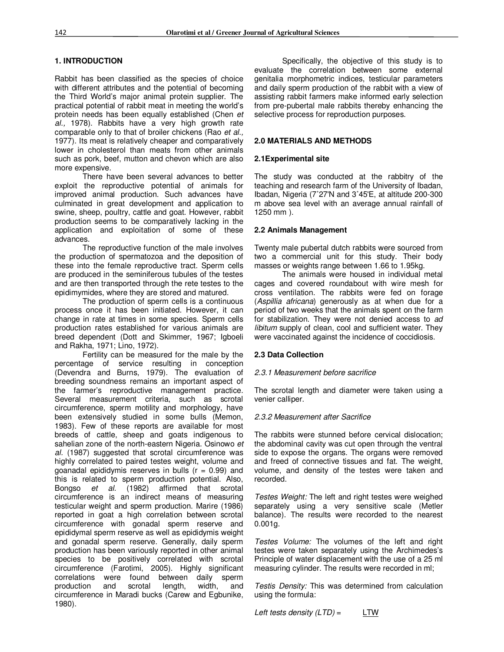# **1. INTRODUCTION**

Rabbit has been classified as the species of choice with different attributes and the potential of becoming the Third World's major animal protein supplier. The practical potential of rabbit meat in meeting the world's protein needs has been equally established (Chen *et al.,* 1978). Rabbits have a very high growth rate comparable only to that of broiler chickens (Rao *et al.,* 1977). Its meat is relatively cheaper and comparatively lower in cholesterol than meats from other animals such as pork, beef, mutton and chevon which are also more expensive.

There have been several advances to better exploit the reproductive potential of animals for improved animal production. Such advances have culminated in great development and application to swine, sheep, poultry, cattle and goat. However, rabbit production seems to be comparatively lacking in the application and exploitation of some of these advances.

The reproductive function of the male involves the production of spermatozoa and the deposition of these into the female reproductive tract. Sperm cells are produced in the seminiferous tubules of the testes and are then transported through the rete testes to the epidimymides, where they are stored and matured.

The production of sperm cells is a continuous process once it has been initiated. However, it can change in rate at times in some species. Sperm cells production rates established for various animals are breed dependent (Dott and Skimmer, 1967; Igboeli and Rakha, 1971; Lino, 1972).

Fertility can be measured for the male by the percentage of service resulting in conception (Devendra and Burns, 1979). The evaluation of breeding soundness remains an important aspect of the farmer's reproductive management practice. Several measurement criteria, such as scrotal circumference, sperm motility and morphology, have been extensively studied in some bulls (Memon, 1983). Few of these reports are available for most breeds of cattle, sheep and goats indigenous to sahelian zone of the north-eastern Nigeria. Osinowo *et al.* (1987) suggested that scrotal circumference was highly correlated to paired testes weight, volume and goanadal epididymis reserves in bulls  $(r = 0.99)$  and this is related to sperm production potential. Also, Bongso *et al.* (1982) affirmed that scrotal circumference is an indirect means of measuring testicular weight and sperm production. Marire (1986) reported in goat a high correlation between scrotal circumference with gonadal sperm reserve and epididymal sperm reserve as well as epididymis weight and gonadal sperm reserve. Generally, daily sperm production has been variously reported in other animal species to be positively correlated with scrotal circumference (Farotimi, 2005). Highly significant correlations were found between daily sperm production and scrotal length, width, and circumference in Maradi bucks (Carew and Egbunike, 1980).

Specifically, the objective of this study is to evaluate the correlation between some external genitalia morphometric indices, testicular parameters and daily sperm production of the rabbit with a view of assisting rabbit farmers make informed early selection from pre-pubertal male rabbits thereby enhancing the selective process for reproduction purposes.

## **2.0 MATERIALS AND METHODS**

## **2.1Experimental site**

The study was conducted at the rabbitry of the teaching and research farm of the University of Ibadan, Ibadan, Nigeria (7˚27'N and 3˚45'E, at altitude 200-300 m above sea level with an average annual rainfall of 1250 mm ).

## **2.2 Animals Management**

Twenty male pubertal dutch rabbits were sourced from two a commercial unit for this study. Their body masses or weights range between 1.66 to 1.95kg.

The animals were housed in individual metal cages and covered roundabout with wire mesh for cross ventilation. The rabbits were fed on forage (*Aspillia africana*) generously as at when due for a period of two weeks that the animals spent on the farm for stabilization. They were not denied access to *ad libitum* supply of clean, cool and sufficient water. They were vaccinated against the incidence of coccidiosis.

# **2.3 Data Collection**

### *2.3.1 Measurement before sacrifice*

The scrotal length and diameter were taken using a venier calliper.

# *2.3.2 Measurement after Sacrifice*

The rabbits were stunned before cervical dislocation; the abdominal cavity was cut open through the ventral side to expose the organs. The organs were removed and freed of connective tissues and fat. The weight, volume, and density of the testes were taken and recorded.

*Testes Weight:* The left and right testes were weighed separately using a very sensitive scale (Metler balance). The results were recorded to the nearest 0.001g.

*Testes Volume:* The volumes of the left and right testes were taken separately using the Archimedes's Principle of water displacement with the use of a 25 ml measuring cylinder. The results were recorded in ml;

*Testis Density:* This was determined from calculation using the formula:

*Left tests density (LTD)* = LTW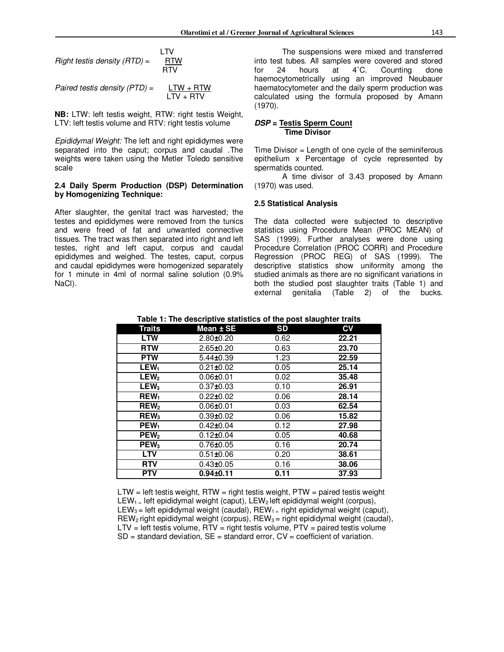|                              | I TV       |  |
|------------------------------|------------|--|
| Right testis density (RTD) = | <b>RTW</b> |  |
|                              | <b>RTV</b> |  |
|                              |            |  |

*Paired testis density (PTD)* =  $LTW + RTW$  $LTV + RTV$ 

**NB:** LTW: left testis weight, RTW: right testis Weight, LTV: left testis volume and RTV: right testis volume

*Epididymal Weight:* The left and right epididymes were separated into the caput; corpus and caudal .The weights were taken using the Metler Toledo sensitive scale

### **2.4 Daily Sperm Production (DSP) Determination by Homogenizing Technique:**

After slaughter, the genital tract was harvested; the testes and epididymes were removed from the tunics and were freed of fat and unwanted connective tissues. The tract was then separated into right and left testes, right and left caput, corpus and caudal epididymes and weighed. The testes, caput, corpus and caudal epididymes were homogenized separately for 1 minute in 4ml of normal saline solution (0.9% NaCl).

The suspensions were mixed and transferred into test tubes. All samples were covered and stored for 24 hours at 4˚C. Counting done haemocytometrically using an improved Neubauer haematocytometer and the daily sperm production was calculated using the formula proposed by Amann (1970).

### *DSP* **= Testis Sperm Count Time Divisor**

Time Divisor = Length of one cycle of the seminiferous epithelium x Percentage of cycle represented by spermatids counted.

A time divisor of 3.43 proposed by Amann (1970) was used.

#### **2.5 Statistical Analysis**

The data collected were subjected to descriptive statistics using Procedure Mean (PROC MEAN) of SAS (1999). Further analyses were done using Procedure Correlation (PROC CORR) and Procedure Regression (PROC REG) of SAS (1999). The descriptive statistics show uniformity among the studied animals as there are no significant variations in both the studied post slaughter traits (Table 1) and external genitalia (Table 2) of the bucks.

| Table 1: The descriptive statistics of the post slaughter traits |  |  |  |
|------------------------------------------------------------------|--|--|--|
| ___                                                              |  |  |  |

| Traits                 | Mean $\pm$ SE   | <b>SD</b> | $c_{V}$ |
|------------------------|-----------------|-----------|---------|
| <b>LTW</b>             | $2.80 + 0.20$   | 0.62      | 22.21   |
| <b>RTW</b>             | $2.65 \pm 0.20$ | 0.63      | 23.70   |
| <b>PTW</b>             | $5.44 \pm 0.39$ | 1.23      | 22.59   |
| LEW <sub>1</sub>       | $0.21 \pm 0.02$ | 0.05      | 25.14   |
| LEW <sub>2</sub>       | $0.06 + 0.01$   | 0.02      | 35.48   |
| LEW <sub>3</sub>       | $0.37 \pm 0.03$ | 0.10      | 26.91   |
| <b>REW</b>             | $0.22 \pm 0.02$ | 0.06      | 28.14   |
| <b>REW<sub>2</sub></b> | $0.06 + 0.01$   | 0.03      | 62.54   |
| <b>REW<sub>3</sub></b> | $0.39 \pm 0.02$ | 0.06      | 15.82   |
| PEW <sub>1</sub>       | $0.42 \pm 0.04$ | 0.12      | 27.98   |
| PEW <sub>2</sub>       | $0.12 \pm 0.04$ | 0.05      | 40.68   |
| PEW <sub>3</sub>       | $0.76 \pm 0.05$ | 0.16      | 20.74   |
| <b>LTV</b>             | $0.51 \pm 0.06$ | 0.20      | 38.61   |
| <b>RTV</b>             | $0.43 \pm 0.05$ | 0.16      | 38.06   |
| <b>PTV</b>             | $0.94 + 0.11$   | 0.11      | 37.93   |

 $LTW = left test$  is weight, RTW = right testis weight, PTW = paired testis weight LEW<sub>1</sub> = left epididymal weight (caput), LEW<sub>2</sub> left epididymal weight (corpus), LEW<sub>3</sub> = left epididymal weight (caudal), REW<sub>1</sub> = right epididymal weight (caput),  $REW<sub>2</sub>$  right epididymal weight (corpus),  $REW<sub>3</sub> =$  right epididymal weight (caudal),  $LTV = left$  testis volume,  $RTV = right$  testis volume,  $PTV =$  paired testis volume  $SD = standard deviation$ ,  $SE = standard error$ ,  $CV = coefficient of variation$ .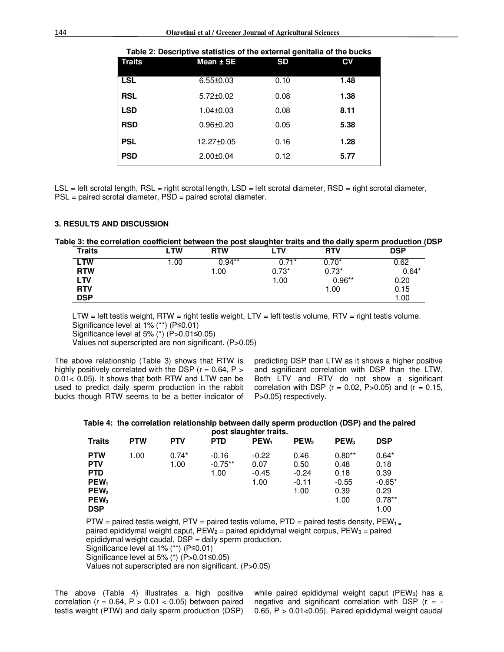| <b>Traits</b> | Table 2. Descriptive statistics of the external genitalia of the bucks<br>Mean $±$ SE | <b>SD</b> | CV   |
|---------------|---------------------------------------------------------------------------------------|-----------|------|
|               |                                                                                       |           |      |
| <b>LSL</b>    | $6.55 \pm 0.03$                                                                       | 0.10      | 1.48 |
| <b>RSL</b>    | $5.72 \pm 0.02$                                                                       | 0.08      | 1.38 |
| <b>LSD</b>    | $1.04 + 0.03$                                                                         | 0.08      | 8.11 |
| <b>RSD</b>    | $0.96 + 0.20$                                                                         | 0.05      | 5.38 |
| <b>PSL</b>    | 12.27±0.05                                                                            | 0.16      | 1.28 |
| <b>PSD</b>    | $2.00 + 0.04$                                                                         | 0.12      | 5.77 |

**Table 2: Descriptive statistics of the external genitalia of the bucks** 

LSL = left scrotal length, RSL = right scrotal length, LSD = left scrotal diameter, RSD = right scrotal diameter, PSL = paired scrotal diameter, PSD = paired scrotal diameter.

#### **3. RESULTS AND DISCUSSION**

#### **Table 3: the correlation coefficient between the post slaughter traits and the daily sperm production (DSP**

| <b>Traits</b> | ∟TW   | <b>RTW</b> | LTV     | <b>RTV</b> | <b>DSP</b> |
|---------------|-------|------------|---------|------------|------------|
| LTW           | 00. ا | $0.94**$   | $0.71*$ | $0.70*$    | 0.62       |
| <b>RTW</b>    |       | 1.00       | $0.73*$ | $0.73*$    | $0.64*$    |
| <b>LTV</b>    |       |            | 1.00    | $0.96**$   | 0.20       |
| <b>RTV</b>    |       |            |         | 1.00       | 0.15       |
| <b>DSP</b>    |       |            |         |            | 1.00       |

LTW = left testis weight, RTW = right testis weight, LTV = left testis volume, RTV = right testis volume. Significance level at 1% (\*\*) (P≤0.01)

Significance level at 5%  $(*)$  (P>0.01≤0.05)

Values not superscripted are non significant. (P>0.05)

The above relationship (Table 3) shows that RTW is highly positively correlated with the DSP ( $r = 0.64$ ,  $P >$ 0.01< 0.05). It shows that both RTW and LTW can be used to predict daily sperm production in the rabbit bucks though RTW seems to be a better indicator of predicting DSP than LTW as it shows a higher positive and significant correlation with DSP than the LTW. Both LTV and RTV do not show a significant correlation with DSP ( $r = 0.02$ , P $> 0.05$ ) and ( $r = 0.15$ , P>0.05) respectively.

| Table 4: the correlation relationship between daily sperm production (DSP) and the paired |  |  |
|-------------------------------------------------------------------------------------------|--|--|
| post slaughter traits.                                                                    |  |  |

| <b>Traits</b>                                                                                                    | <b>PTW</b> | <b>PTV</b>      | <b>PTD</b>                   | PEW <sub>1</sub>                   | PEW <sub>2</sub>                           | $PEW_3$                                             | <b>DSP</b>                                                      |
|------------------------------------------------------------------------------------------------------------------|------------|-----------------|------------------------------|------------------------------------|--------------------------------------------|-----------------------------------------------------|-----------------------------------------------------------------|
| <b>PTW</b><br><b>PTV</b><br><b>PTD</b><br>PEW <sub>1</sub><br>PEW <sub>2</sub><br>PEW <sub>3</sub><br><b>DSP</b> | 1.00       | $0.74*$<br>1.00 | $-0.16$<br>$-0.75**$<br>1.00 | $-0.22$<br>0.07<br>$-0.45$<br>1.00 | 0.46<br>0.50<br>$-0.24$<br>$-0.11$<br>1.00 | $0.80**$<br>0.48<br>0.18<br>$-0.55$<br>0.39<br>1.00 | $0.64*$<br>0.18<br>0.39<br>$-0.65*$<br>0.29<br>$0.78**$<br>1.00 |

PTW = paired testis weight, PTV = paired testis volume, PTD = paired testis density, PEW**1 =**  paired epididymal weight caput,  $PEW_2$  = paired epididymal weight corpus,  $PEW_3$  = paired epididymal weight caudal, DSP = daily sperm production.

Significance level at 1% (\*\*) (P≤0.01)

Significance level at 5% (\*) (P>0.01≤0.05)

Values not superscripted are non significant. (P>0.05)

The above (Table 4) illustrates a high positive correlation ( $r = 0.64$ ,  $P > 0.01 < 0.05$ ) between paired testis weight (PTW) and daily sperm production (DSP) while paired epididymal weight caput (PEW<sub>3</sub>) has a negative and significant correlation with DSP ( $r = -$ 0.65,  $P > 0.01 < 0.05$ ). Paired epididymal weight caudal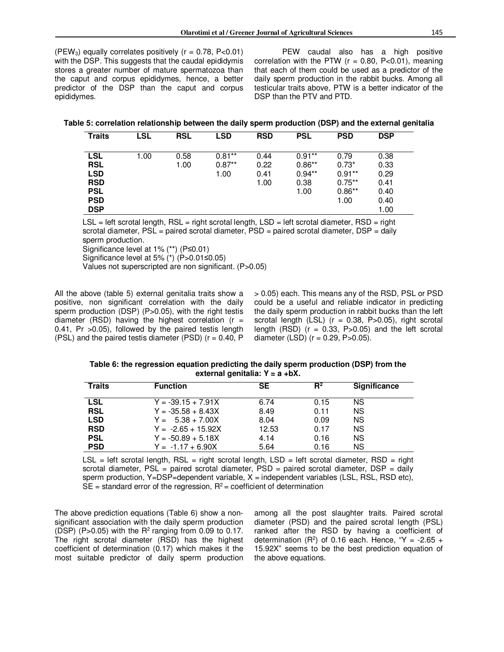(PEW<sub>3</sub>) equally correlates positively ( $r = 0.78$ , P<0.01) with the DSP. This suggests that the caudal epididymis stores a greater number of mature spermatozoa than the caput and corpus epididymes, hence, a better predictor of the DSP than the caput and corpus epididymes.

PEW caudal also has a high positive correlation with the PTW ( $r = 0.80$ , P<0.01), meaning that each of them could be used as a predictor of the daily sperm production in the rabbit bucks. Among all testicular traits above, PTW is a better indicator of the DSP than the PTV and PTD.

| Table 5: correlation relationship between the daily sperm production (DSP) and the external genitalia |  |  |
|-------------------------------------------------------------------------------------------------------|--|--|
|                                                                                                       |  |  |

| <b>Traits</b> | LSL  | <b>RSL</b> | LSD      | <b>RSD</b> | PSL      | <b>PSD</b> | <b>DSP</b> |
|---------------|------|------------|----------|------------|----------|------------|------------|
|               |      |            |          |            |          |            |            |
| LSL           | 1.00 | 0.58       | $0.81**$ | 0.44       | $0.91**$ | 0.79       | 0.38       |
| <b>RSL</b>    |      | 1.00       | $0.87**$ | 0.22       | $0.86**$ | $0.73*$    | 0.33       |
| <b>LSD</b>    |      |            | 1.00     | 0.41       | $0.94**$ | $0.91**$   | 0.29       |
| <b>RSD</b>    |      |            |          | 1.00       | 0.38     | $0.75**$   | 0.41       |
| <b>PSL</b>    |      |            |          |            | 1.00     | $0.86**$   | 0.40       |
| <b>PSD</b>    |      |            |          |            |          | 1.00       | 0.40       |
| <b>DSP</b>    |      |            |          |            |          |            | 1.00       |

LSL = left scrotal length, RSL = right scrotal length, LSD = left scrotal diameter, RSD = right scrotal diameter, PSL = paired scrotal diameter, PSD = paired scrotal diameter, DSP = daily sperm production.

Significance level at 1% (\*\*) (P≤0.01)

Significance level at 5% (\*) (P>0.01≤0.05)

Values not superscripted are non significant. (P>0.05)

All the above (table 5) external genitalia traits show a positive, non significant correlation with the daily sperm production (DSP) (P>0.05), with the right testis diameter (RSD) having the highest correlation ( $r =$ 0.41, Pr >0.05), followed by the paired testis length (PSL) and the paired testis diameter (PSD) ( $r = 0.40$ , P > 0.05) each. This means any of the RSD, PSL or PSD could be a useful and reliable indicator in predicting the daily sperm production in rabbit bucks than the left scrotal length  $(LSL)$  ( $r = 0.38$ ,  $P > 0.05$ ), right scrotal length (RSD) ( $r = 0.33$ , P $>0.05$ ) and the left scrotal diameter (LSD)  $(r = 0.29, P > 0.05)$ .

**Table 6: the regression equation predicting the daily sperm production (DSP) from the external genitalia: Y = a +bX.** 

| Traits     | <b>Function</b>      | <b>SE</b> | $R^2$ | <b>Significance</b> |
|------------|----------------------|-----------|-------|---------------------|
| <b>LSL</b> | $Y = -39.15 + 7.91X$ | 6.74      | 0.15  | <b>NS</b>           |
| <b>RSL</b> | $Y = -35.58 + 8.43X$ | 8.49      | 0.11  | <b>NS</b>           |
| <b>LSD</b> | $Y = 5.38 + 7.00X$   | 8.04      | 0.09  | <b>NS</b>           |
| <b>RSD</b> | $Y = -2.65 + 15.92X$ | 12.53     | 0.17  | <b>NS</b>           |
| <b>PSL</b> | $Y = -50.89 + 5.18X$ | 4.14      | 0.16  | <b>NS</b>           |
| <b>PSD</b> | $Y = -1.17 + 6.90X$  | 5.64      | 0.16  | <b>NS</b>           |

 $LSL = left$  scrotal length,  $RSL = right$  scrotal length,  $LSD = left$  scrotal diameter,  $RSD = right$ scrotal diameter,  $PSL =$  paired scrotal diameter,  $PSD =$  paired scrotal diameter,  $DSP =$  daily sperm production, Y=DSP=dependent variable,  $X =$  independent variables (LSL, RSL, RSD etc),  $SE =$  standard error of the regression,  $R^2$  = coefficient of determination

The above prediction equations (Table 6) show a nonsignificant association with the daily sperm production (DSP) (P>0.05) with the  $R^2$  ranging from 0.09 to 0.17. The right scrotal diameter (RSD) has the highest coefficient of determination (0.17) which makes it the most suitable predictor of daily sperm production among all the post slaughter traits. Paired scrotal diameter (PSD) and the paired scrotal length (PSL) ranked after the RSD by having a coefficient of determination (R<sup>2</sup>) of 0.16 each. Hence, "Y = -2.65 + 15.92X" seems to be the best prediction equation of the above equations.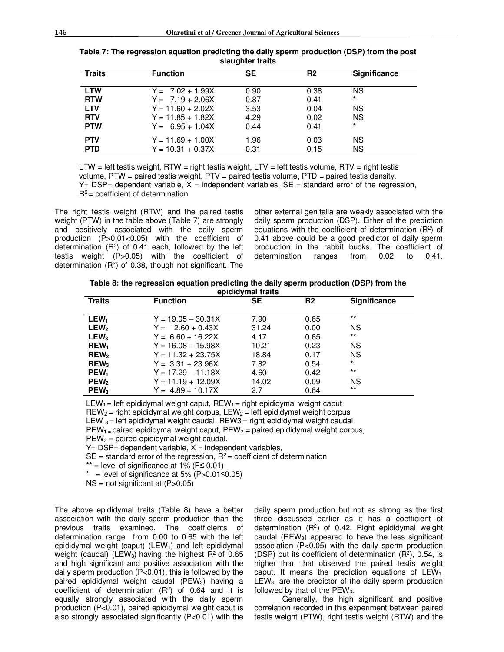| <b>Traits</b> | <b>Function</b>     | <b>SE</b> | R <sub>2</sub> | Significance |
|---------------|---------------------|-----------|----------------|--------------|
| <b>LTW</b>    | $Y = 7.02 + 1.99X$  | 0.90      | 0.38           | NS.          |
| <b>RTW</b>    | $Y = 7.19 + 2.06X$  | 0.87      | 0.41           | $\star$      |
| <b>LTV</b>    | $Y = 11.60 + 2.02X$ | 3.53      | 0.04           | <b>NS</b>    |
| <b>RTV</b>    | $Y = 11.85 + 1.82X$ | 4.29      | 0.02           | <b>NS</b>    |
| <b>PTW</b>    | $Y = 6.95 + 1.04X$  | 0.44      | 0.41           | $\star$      |
| <b>PTV</b>    | $Y = 11.69 + 1.00X$ | 1.96      | 0.03           | ΝS           |
| <b>PTD</b>    | $Y = 10.31 + 0.37X$ | 0.31      | 0.15           | <b>NS</b>    |

| Table 7: The regression equation predicting the daily sperm production (DSP) from the post |
|--------------------------------------------------------------------------------------------|
| slaughter traits                                                                           |

 $LTW = left test$  weight,  $RTW = right test$  testis weight,  $LTV = left test$  testis volume,  $RTV = right test$ volume, PTW = paired testis weight, PTV = paired testis volume, PTD = paired testis density.  $Y = DSP =$  dependent variable,  $X =$  independent variables,  $SE =$  standard error of the regression,  $R^2$  = coefficient of determination

The right testis weight (RTW) and the paired testis weight (PTW) in the table above (Table 7) are strongly and positively associated with the daily sperm production (P>0.01<0.05) with the coefficient of determination  $(R^2)$  of 0.41 each, followed by the left testis weight (P>0.05) with the coefficient of determination  $(R^2)$  of 0.38, though not significant. The other external genitalia are weakly associated with the daily sperm production (DSP). Either of the prediction equations with the coefficient of determination  $(R<sup>2</sup>)$  of 0.41 above could be a good predictor of daily sperm production in the rabbit bucks. The coefficient of determination ranges from 0.02 to 0.41.

**Table 8: the regression equation predicting the daily sperm production (DSP) from the epididymal traits** 

| $50 - 100$       |                      |           |                |              |  |
|------------------|----------------------|-----------|----------------|--------------|--|
| <b>Traits</b>    | <b>Function</b>      | <b>SE</b> | R <sub>2</sub> | Significance |  |
| LEW <sub>1</sub> | $Y = 19.05 - 30.31X$ | 7.90      | 0.65           | $***$        |  |
| LEW <sub>2</sub> | $Y = 12.60 + 0.43X$  | 31.24     | 0.00           | <b>NS</b>    |  |
| LEW <sub>3</sub> | $Y = 6.60 + 16.22X$  | 4.17      | 0.65           | $**$         |  |
| <b>REW</b>       | $Y = 16.08 - 15.98X$ | 10.21     | 0.23           | <b>NS</b>    |  |
| REW <sub>2</sub> | $Y = 11.32 + 23.75X$ | 18.84     | 0.17           | <b>NS</b>    |  |
| $REW_3$          | $Y = 3.31 + 23.96X$  | 7.82      | 0.54           | $\star$      |  |
| PEW <sub>1</sub> | $Y = 17.29 - 11.13X$ | 4.60      | 0.42           | $***$        |  |
| PEW <sub>2</sub> | $Y = 11.19 + 12.09X$ | 14.02     | 0.09           | <b>NS</b>    |  |
| $PEW_3$          | $Y = 4.89 + 10.17X$  | 2.7       | 0.64           | $**$         |  |

LEW<sub>1</sub> = left epididymal weight caput, REW<sub>1</sub> = right epididymal weight caput  $REW<sub>2</sub> =$  right epididymal weight corpus,  $LEW<sub>2</sub> =$  left epididymal weight corpus LEW  $_3$  = left epididymal weight caudal, REW3 = right epididymal weight caudal

PEW**1 =** paired epididymal weight caput, PEW2 = paired epididymal weight corpus,

 $PEW_3$  = paired epididymal weight caudal.

 $Y = DSP = dependent variable, X = independent variable,$ 

 $SE$  = standard error of the regression,  $R^2$  = coefficient of determination

 $**$  = level of significance at 1% (P≤ 0.01)

 $*$  = level of significance at 5% (P>0.01≤0.05)

 $NS = not significant at (P > 0.05)$ 

The above epididymal traits (Table 8) have a better association with the daily sperm production than the previous traits examined. The coefficients of determination range from 0.00 to 0.65 with the left epididymal weight (caput) ( $LEW<sub>1</sub>$ ) and left epididymal weight (caudal) (LEW<sub>3</sub>) having the highest  $R^2$  of 0.65 and high significant and positive association with the daily sperm production (P<0.01), this is followed by the paired epididymal weight caudal  $(PEW<sub>3</sub>)$  having a coefficient of determination  $(R^2)$  of 0.64 and it is equally strongly associated with the daily sperm production (P<0.01), paired epididymal weight caput is also strongly associated significantly (P<0.01) with the

daily sperm production but not as strong as the first three discussed earlier as it has a coefficient of determination  $(R^2)$  of 0.42. Right epididymal weight caudal ( $REW<sub>3</sub>$ ) appeared to have the less significant association (P<0.05) with the daily sperm production (DSP) but its coefficient of determination  $(R<sup>2</sup>)$ , 0.54, is higher than that observed the paired testis weight caput. It means the prediction equations of  $LEW<sub>1</sub>$ ,  $LEW<sub>3</sub>$ , are the predictor of the daily sperm production followed by that of the  $PEW_3$ .

Generally, the high significant and positive correlation recorded in this experiment between paired testis weight (PTW), right testis weight (RTW) and the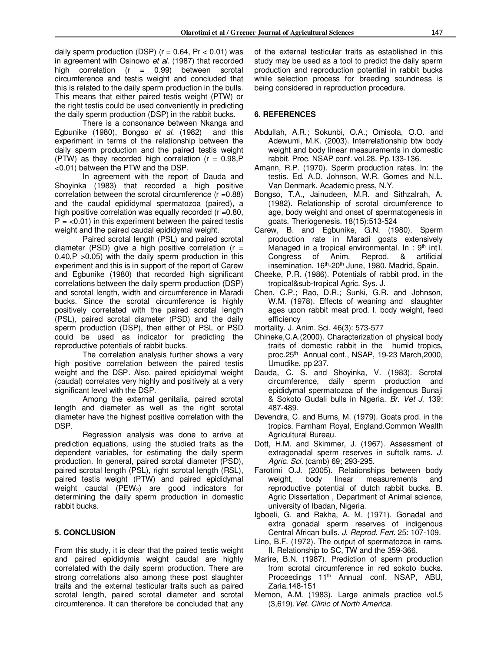daily sperm production (DSP) ( $r = 0.64$ , Pr  $< 0.01$ ) was in agreement with Osinowo *et al.* (1987) that recorded high correlation  $(r = 0.99)$  between scrotal circumference and testis weight and concluded that this is related to the daily sperm production in the bulls. This means that either paired testis weight (PTW) or the right testis could be used conveniently in predicting the daily sperm production (DSP) in the rabbit bucks.

There is a consonance between Nkanga and Egbunike (1980), Bongso *et al.* (1982) and this experiment in terms of the relationship between the daily sperm production and the paired testis weight (PTW) as they recorded high correlation ( $r = 0.98$ , P <0.01) between the PTW and the DSP.

In agreement with the report of Dauda and Shoyinka (1983) that recorded a high positive correlation between the scrotal circumference  $(r = 0.88)$ and the caudal epididymal spermatozoa (paired), a high positive correlation was equally recorded  $(r = 0.80,$  $P = <0.01$ ) in this experiment between the paired testis weight and the paired caudal epididymal weight.

Paired scrotal length (PSL) and paired scrotal diameter (PSD) give a high positive correlation ( $r =$ 0.40,P >0.05) with the daily sperm production in this experiment and this is in support of the report of Carew and Egbunike (1980) that recorded high significant correlations between the daily sperm production (DSP) and scrotal length, width and circumference in Maradi bucks. Since the scrotal circumference is highly positively correlated with the paired scrotal length (PSL), paired scrotal diameter (PSD) and the daily sperm production (DSP), then either of PSL or PSD could be used as indicator for predicting the reproductive potentials of rabbit bucks.

The correlation analysis further shows a very high positive correlation between the paired testis weight and the DSP. Also, paired epididymal weight (caudal) correlates very highly and positively at a very significant level with the DSP.

Among the external genitalia, paired scrotal length and diameter as well as the right scrotal diameter have the highest positive correlation with the DSP.

Regression analysis was done to arrive at prediction equations, using the studied traits as the dependent variables, for estimating the daily sperm production. In general, paired scrotal diameter (PSD), paired scrotal length (PSL), right scrotal length (RSL), paired testis weight (PTW) and paired epididymal weight caudal (PEW<sub>3</sub>) are good indicators for determining the daily sperm production in domestic rabbit bucks.

### **5. CONCLUSION**

From this study, it is clear that the paired testis weight and paired epididymis weight caudal are highly correlated with the daily sperm production. There are strong correlations also among these post slaughter traits and the external testicular traits such as paired scrotal length, paired scrotal diameter and scrotal circumference. It can therefore be concluded that any

of the external testicular traits as established in this study may be used as a tool to predict the daily sperm production and reproduction potential in rabbit bucks while selection process for breeding soundness is being considered in reproduction procedure.

#### **6. REFERENCES**

- Abdullah, A.R.; Sokunbi, O.A.; Omisola, O.O. and Adewumi, M.K. (2003). Interrelationship btw body weight and body linear measurements in domestic rabbit. Proc. NSAP conf. vol.28. Pp.133-136.
- Amann, R.P. (1970). Sperm production rates. In: the testis. Ed. A.D. Johnson, W.R. Gomes and N.L. Van Denmark. Academic press, N.Y.
- Bongso, T.A., Jainudeen, M.R. and Sithzalrah, A. (1982). Relationship of scrotal circumference to age, body weight and onset of spermatogenesis in goats. Theriogenesis. 18(15):513-524
- Carew, B. and Egbunike, G.N. (1980). Sperm production rate in Maradi goats extensively Managed in a tropical environmental. In :  $9<sup>th</sup>$  int'l. Congress of Anim. Reprod. & artificial insemination. 16<sup>th</sup>-20<sup>th</sup> June, 1980. Madrid, Spain.
- Cheeke, P.R. (1986). Potentials of rabbit prod. in the tropical&sub-tropical Agric. Sys. J.
- Chen, C.P.; Rao, D.R.; Sunki, G.R. and Johnson, W.M. (1978). Effects of weaning and slaughter ages upon rabbit meat prod. I. body weight, feed efficiency

mortality. J. Anim. Sci. 46(3): 573-577

- Chineke,C.A.(2000). Characterization of physical body traits of domestic rabbit in the humid tropics, proc.25<sup>th</sup> Annual conf., NSAP, 19-23 March, 2000, Umudike, pp 237.
- Dauda, C. S. and Shoyinka, V. (1983). Scrotal circumference, daily sperm production and epididymal spermatozoa of the indigenous Bunaji & Sokoto Gudali bulls in Nigeria. *Br. Vet J.* 139: 487-489.
- Devendra, C. and Burns, M. (1979). Goats prod. in the tropics. Farnham Royal, England.Common Wealth Agricultural Bureau.
- Dott, H.M. and Skimmer, J. (1967). Assessment of extragonadal sperm reserves in suftolk rams. *J. Agric. Sci.* (camb) 69; 293-295.
- Farotimi O.J. (2005). Relationships between body weight, body linear measurements and reproductive potential of dutch rabbit bucks. B. Agric Dissertation , Department of Animal science, university of Ibadan, Nigeria.
- Igboeli, G. and Rakha, A. M. (1971). Gonadal and extra gonadal sperm reserves of indigenous Central African bulls. *J. Reprod. Fert.* 25: 107-109.
- Lino, B.F. (1972). The output of spermatozoa in rams. II. Relationship to SC, TW and the 359-366.
- Marire, B.N. (1987). Prediction of sperm production from scrotal circumference in red sokoto bucks. Proceedings 11<sup>th</sup> Annual conf. NSAP, ABU, Zaria.148-151
- Memon, A.M. (1983). Large animals practice vol.5 (3,619).*Vet. Clinic of North America.*